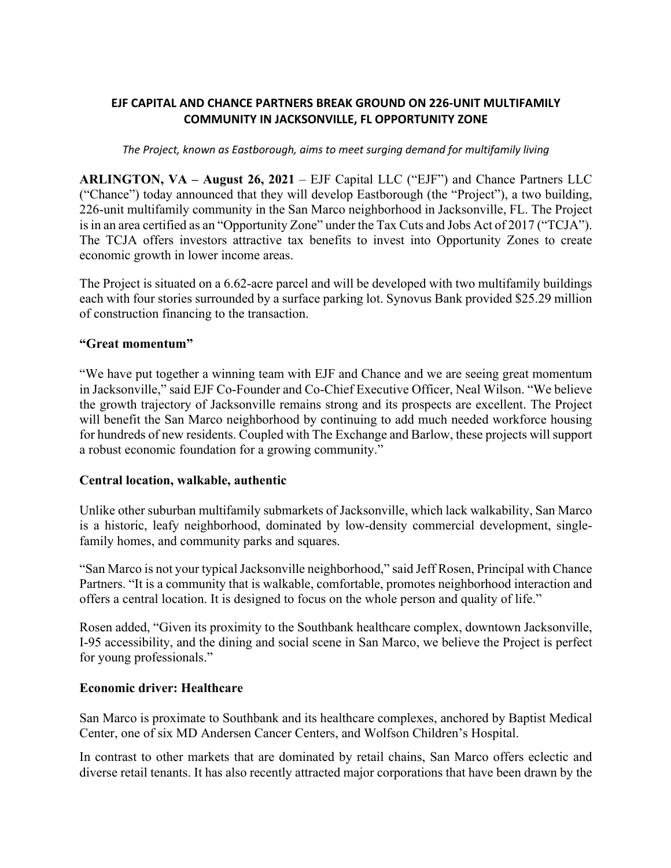## **EJF CAPITAL AND CHANCE PARTNERS BREAK GROUND ON 226-UNIT MULTIFAMILY COMMUNITY IN JACKSONVILLE, FL OPPORTUNITY ZONE**

#### *The Project, known as Eastborough, aims to meet surging demand for multifamily living*

**ARLINGTON, VA – August 26, 2021** – EJF Capital LLC ("EJF") and Chance Partners LLC ("Chance") today announced that they will develop Eastborough (the "Project"), a two building, 226-unit multifamily community in the San Marco neighborhood in Jacksonville, FL. The Project is in an area certified as an "Opportunity Zone" under the Tax Cuts and Jobs Act of 2017 ("TCJA"). The TCJA offers investors attractive tax benefits to invest into Opportunity Zones to create economic growth in lower income areas.

The Project is situated on a 6.62-acre parcel and will be developed with two multifamily buildings each with four stories surrounded by a surface parking lot. Synovus Bank provided \$25.29 million of construction financing to the transaction.

#### **"Great momentum"**

"We have put together a winning team with EJF and Chance and we are seeing great momentum in Jacksonville," said EJF Co-Founder and Co-Chief Executive Officer, Neal Wilson. "We believe the growth trajectory of Jacksonville remains strong and its prospects are excellent. The Project will benefit the San Marco neighborhood by continuing to add much needed workforce housing for hundreds of new residents. Coupled with The Exchange and Barlow, these projects will support a robust economic foundation for a growing community."

#### **Central location, walkable, authentic**

Unlike other suburban multifamily submarkets of Jacksonville, which lack walkability, San Marco is a historic, leafy neighborhood, dominated by low-density commercial development, singlefamily homes, and community parks and squares.

"San Marco is not your typical Jacksonville neighborhood," said Jeff Rosen, Principal with Chance Partners. "It is a community that is walkable, comfortable, promotes neighborhood interaction and offers a central location. It is designed to focus on the whole person and quality of life."

Rosen added, "Given its proximity to the Southbank healthcare complex, downtown Jacksonville, I-95 accessibility, and the dining and social scene in San Marco, we believe the Project is perfect for young professionals."

#### **Economic driver: Healthcare**

San Marco is proximate to Southbank and its healthcare complexes, anchored by Baptist Medical Center, one of six MD Andersen Cancer Centers, and Wolfson Children's Hospital.

In contrast to other markets that are dominated by retail chains, San Marco offers eclectic and diverse retail tenants. It has also recently attracted major corporations that have been drawn by the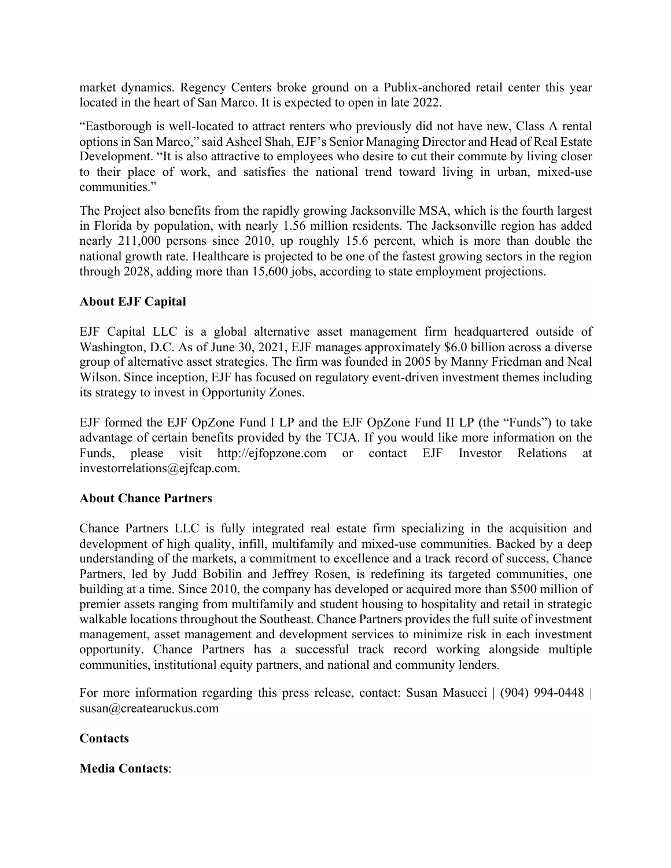market dynamics. Regency Centers broke ground on a Publix-anchored retail center this year located in the heart of San Marco. It is expected to open in late 2022.

"Eastborough is well-located to attract renters who previously did not have new, Class A rental options in San Marco," said Asheel Shah, EJF's Senior Managing Director and Head of Real Estate Development. "It is also attractive to employees who desire to cut their commute by living closer to their place of work, and satisfies the national trend toward living in urban, mixed-use communities."

The Project also benefits from the rapidly growing Jacksonville MSA, which is the fourth largest in Florida by population, with nearly 1.56 million residents. The Jacksonville region has added nearly 211,000 persons since 2010, up roughly 15.6 percent, which is more than double the national growth rate. Healthcare is projected to be one of the fastest growing sectors in the region through 2028, adding more than 15,600 jobs, according to state employment projections.

## **About EJF Capital**

EJF Capital LLC is a global alternative asset management firm headquartered outside of Washington, D.C. As of June 30, 2021, EJF manages approximately \$6.0 billion across a diverse group of alternative asset strategies. The firm was founded in 2005 by Manny Friedman and Neal Wilson. Since inception, EJF has focused on regulatory event-driven investment themes including its strategy to invest in Opportunity Zones.

EJF formed the EJF OpZone Fund I LP and the EJF OpZone Fund II LP (the "Funds") to take advantage of certain benefits provided by the TCJA. If you would like more information on the Funds, please visit http://ejfopzone.com or contact EJF Investor Relations at investorrelations@ejfcap.com.

## **About Chance Partners**

Chance Partners LLC is fully integrated real estate firm specializing in the acquisition and development of high quality, infill, multifamily and mixed-use communities. Backed by a deep understanding of the markets, a commitment to excellence and a track record of success, Chance Partners, led by Judd Bobilin and Jeffrey Rosen, is redefining its targeted communities, one building at a time. Since 2010, the company has developed or acquired more than \$500 million of premier assets ranging from multifamily and student housing to hospitality and retail in strategic walkable locations throughout the Southeast. Chance Partners provides the full suite of investment management, asset management and development services to minimize risk in each investment opportunity. Chance Partners has a successful track record working alongside multiple communities, institutional equity partners, and national and community lenders.

For more information regarding this press release, contact: Susan Masucci | (904) 994-0448 | susan@createaruckus.com

## **Contacts**

## **Media Contacts**: